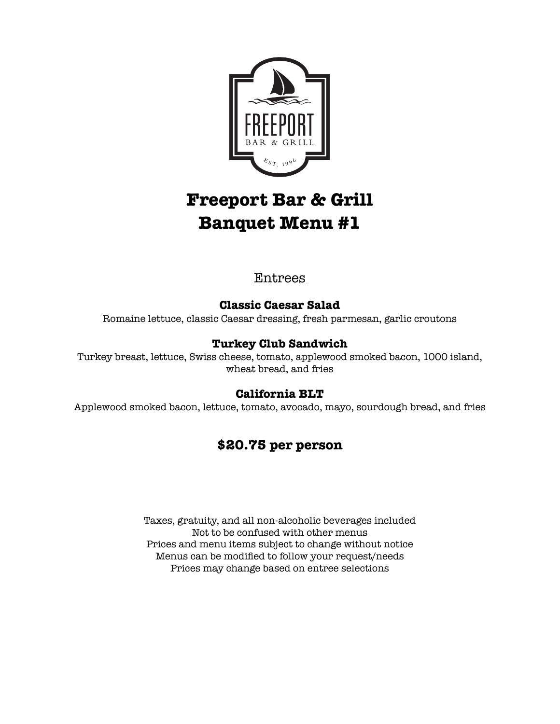

# **Freeport Bar & Grill Banquet Menu #1**

# Entrees

## **Classic Caesar Salad**

Romaine lettuce, classic Caesar dressing, fresh parmesan, garlic croutons

#### **Turkey Club Sandwich**

Turkey breast, lettuce, Swiss cheese, tomato, applewood smoked bacon, 1000 island, wheat bread, and fries

#### **California BLT**

Applewood smoked bacon, lettuce, tomato, avocado, mayo, sourdough bread, and fries

# **\$20.75 per person**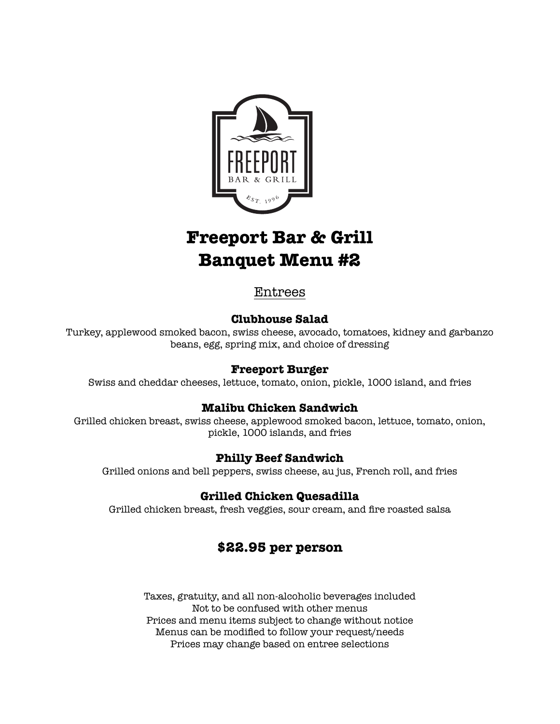

# **Freeport Bar & Grill Banquet Menu #2**

## Entrees

#### **Clubhouse Salad**

Turkey, applewood smoked bacon, swiss cheese, avocado, tomatoes, kidney and garbanzo beans, egg, spring mix, and choice of dressing

#### **Freeport Burger**

Swiss and cheddar cheeses, lettuce, tomato, onion, pickle, 1000 island, and fries

#### **Malibu Chicken Sandwich**

Grilled chicken breast, swiss cheese, applewood smoked bacon, lettuce, tomato, onion, pickle, 1000 islands, and fries

#### **Philly Beef Sandwich**

Grilled onions and bell peppers, swiss cheese, au jus, French roll, and fries

#### **Grilled Chicken Quesadilla**

Grilled chicken breast, fresh veggies, sour cream, and fire roasted salsa

# **\$22.95 per person**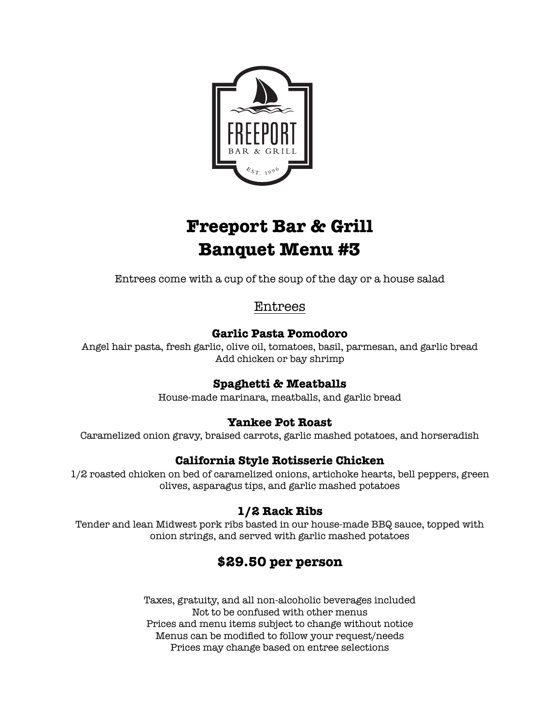

# **Freeport Bar & Grill Banquet Menu #3**

Entrees come with a cup of the soup of the day or a house salad

# Entrees

#### **Garlic Pasta Pomodoro**

Angel hair pasta, fresh garlic, olive oil, tomatoes, basil, parmesan, and garlic bread Add chicken or bay shrimp

## **Spaghetti & Meatballs**

House-made marinara, meatballs, and garlic bread

## **Yankee Pot Roast**

Caramelized onion gravy, braised carrots, garlic mashed potatoes, and horseradish

## **California Style Rotisserie Chicken**

1/2 roasted chicken on bed of caramelized onions, artichoke hearts, bell peppers, green olives, asparagus tips, and garlic mashed potatoes

## **1/2 Rack Ribs**

Tender and lean Midwest pork ribs basted in our house-made BBQ sauce, topped with onion strings, and served with garlic mashed potatoes

# **\$29.50 per person**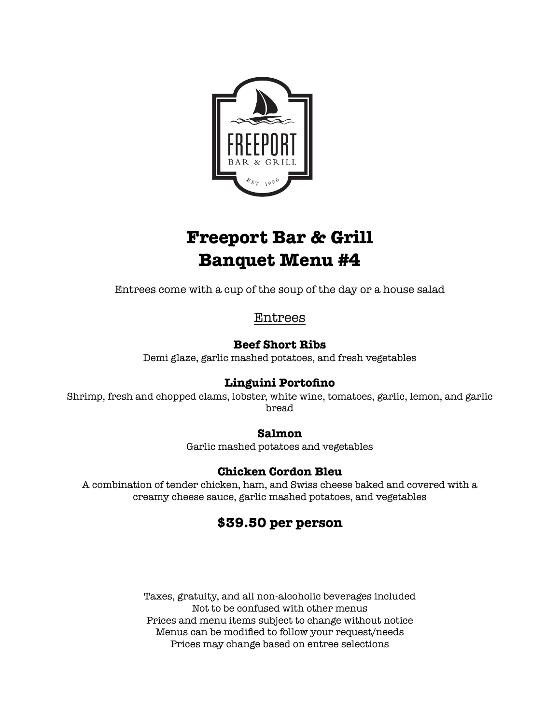

# **Freeport Bar & Grill Banquet Menu #4**

Entrees come with a cup of the soup of the day or a house salad

Entrees

#### **Beef Short Ribs**

Demi glaze, garlic mashed potatoes, and fresh vegetables

## **Linguini Portofino**

Shrimp, fresh and chopped clams, lobster, white wine, tomatoes, garlic, lemon, and garlic bread

#### **Salmon**

Garlic mashed potatoes and vegetables

#### **Chicken Cordon Bleu**

A combination of tender chicken, ham, and Swiss cheese baked and covered with a creamy cheese sauce, garlic mashed potatoes, and vegetables

# **\$39.50 per person**